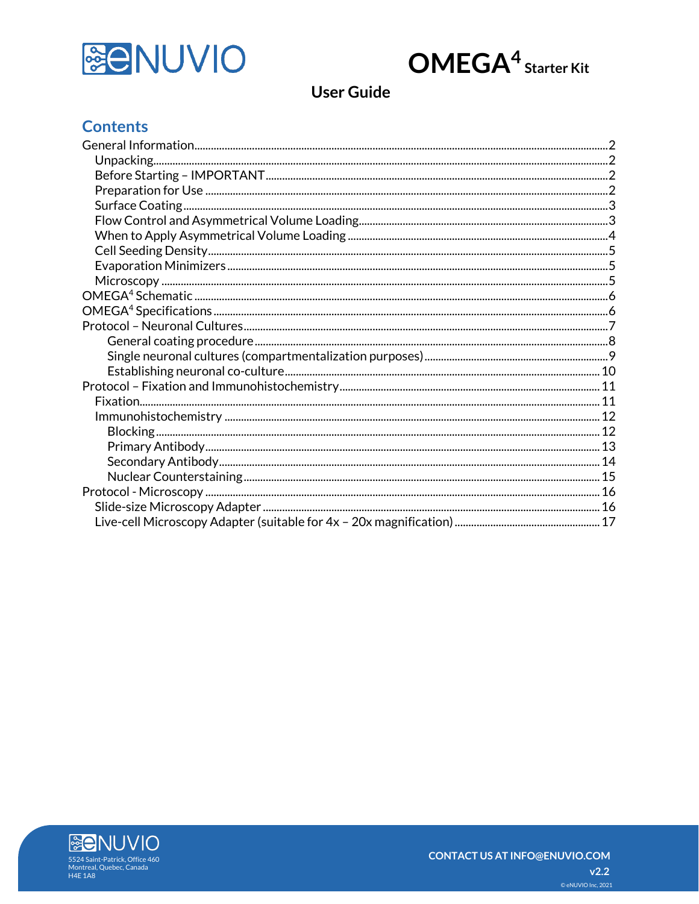

# $OMEGA<sup>4</sup> <sub>Starter Kit</sub>$

# **User Guide**

# **Contents**

<span id="page-0-0"></span>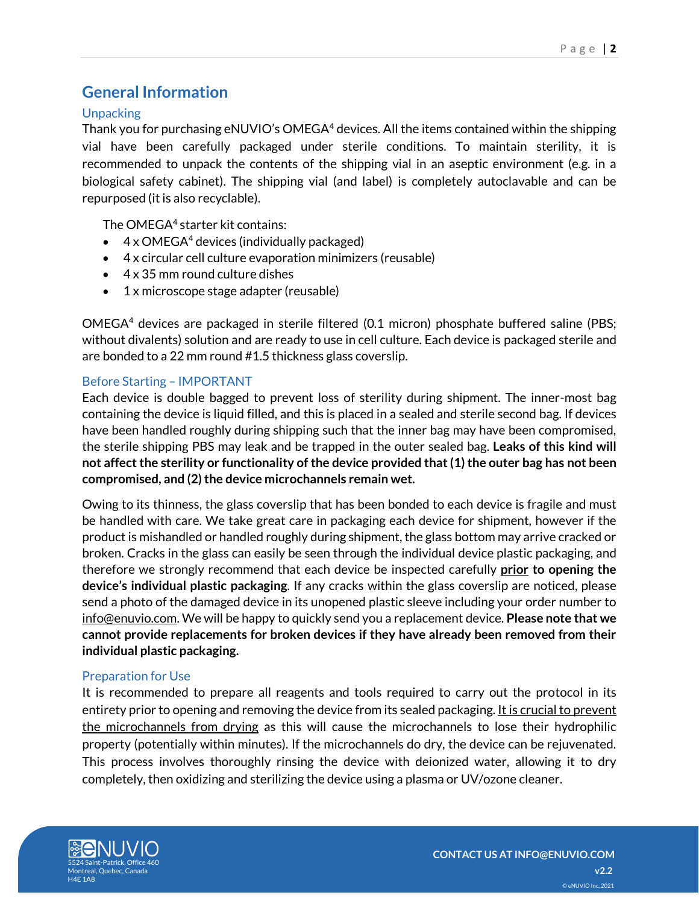### **General Information**

#### <span id="page-1-0"></span>**Unpacking**

Thank you for purchasing eNUVIO's OMEGA<sup>4</sup> devices. All the items contained within the shipping vial have been carefully packaged under sterile conditions. To maintain sterility, it is recommended to unpack the contents of the shipping vial in an aseptic environment (e.g. in a biological safety cabinet). The shipping vial (and label) is completely autoclavable and can be repurposed (it is also recyclable).

The OMEGA<sup>4</sup> starter kit contains:

- $\bullet$  4 x OMEGA<sup>4</sup> devices (individually packaged)
- 4 x circular cell culture evaporation minimizers (reusable)
- 4 x 35 mm round culture dishes
- 1 x microscope stage adapter (reusable)

OMEGA<sup>4</sup> devices are packaged in sterile filtered (0.1 micron) phosphate buffered saline (PBS; without divalents) solution and are ready to use in cell culture. Each device is packaged sterile and are bonded to a 22 mm round #1.5 thickness glass coverslip.

#### <span id="page-1-1"></span>Before Starting – IMPORTANT

Each device is double bagged to prevent loss of sterility during shipment. The inner-most bag containing the device is liquid filled, and this is placed in a sealed and sterile second bag. If devices have been handled roughly during shipping such that the inner bag may have been compromised, the sterile shipping PBS may leak and be trapped in the outer sealed bag. **Leaks of this kind will not affect the sterility or functionality of the device provided that (1) the outer bag has not been compromised, and (2) the device microchannels remain wet.**

Owing to its thinness, the glass coverslip that has been bonded to each device is fragile and must be handled with care. We take great care in packaging each device for shipment, however if the product is mishandled or handled roughly during shipment, the glass bottom may arrive cracked or broken. Cracks in the glass can easily be seen through the individual device plastic packaging, and therefore we strongly recommend that each device be inspected carefully **prior to opening the device's individual plastic packaging**. If any cracks within the glass coverslip are noticed, please send a photo of the damaged device in its unopened plastic sleeve including your order number to info@enuvio.com. We will be happy to quickly send you a replacement device. **Please note that we cannot provide replacements for broken devices if they have already been removed from their individual plastic packaging.**

#### <span id="page-1-2"></span>Preparation for Use

It is recommended to prepare all reagents and tools required to carry out the protocol in its entirety prior to opening and removing the device from its sealed packaging. It is crucial to prevent the microchannels from drying as this will cause the microchannels to lose their hydrophilic property (potentially within minutes). If the microchannels do dry, the device can be rejuvenated. This process involves thoroughly rinsing the device with deionized water, allowing it to dry completely, then oxidizing and sterilizing the device using a plasma or UV/ozone cleaner.

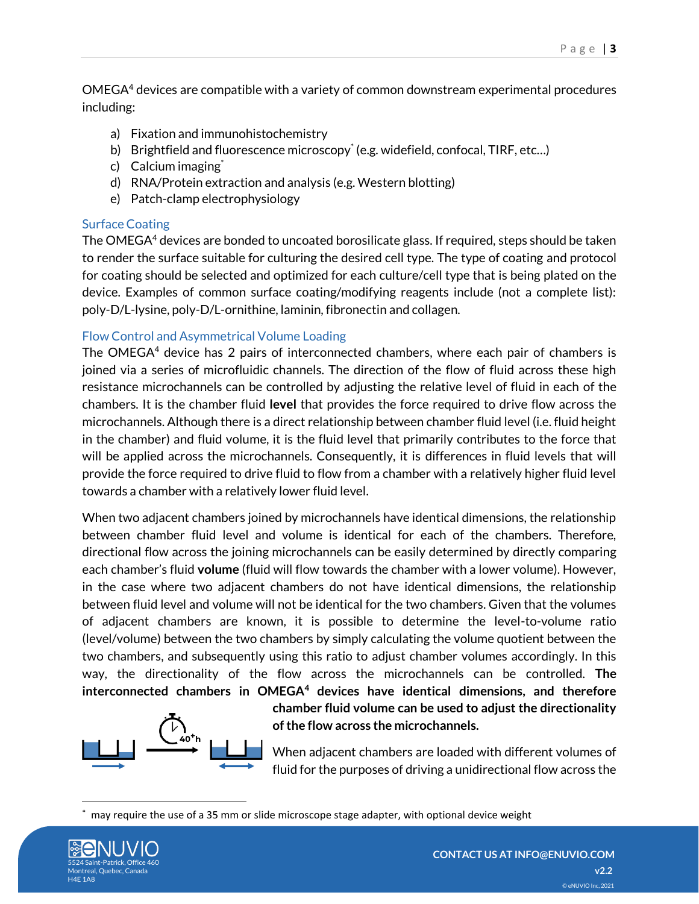OMEGA<sup>4</sup> devices are compatible with a variety of common downstream experimental procedures including:

- a) Fixation and immunohistochemistry
- b) Brightfield and fluorescence microscopy\* (e.g. widefield, confocal, TIRF, etc...)
- c) Calcium imaging<sup>\*</sup>
- d) RNA/Protein extraction and analysis (e.g. Western blotting)
- e) Patch-clamp electrophysiology

### <span id="page-2-0"></span>Surface Coating

The OMEGA<sup>4</sup> devices are bonded to uncoated borosilicate glass. If required, steps should be taken to render the surface suitable for culturing the desired cell type. The type of coating and protocol for coating should be selected and optimized for each culture/cell type that is being plated on the device. Examples of common surface coating/modifying reagents include (not a complete list): poly-D/L-lysine, poly-D/L-ornithine, laminin, fibronectin and collagen.

### <span id="page-2-1"></span>Flow Control and Asymmetrical Volume Loading

The OMEGA $4$  device has 2 pairs of interconnected chambers, where each pair of chambers is joined via a series of microfluidic channels. The direction of the flow of fluid across these high resistance microchannels can be controlled by adjusting the relative level of fluid in each of the chambers. It is the chamber fluid **level** that provides the force required to drive flow across the microchannels. Although there is a direct relationship between chamber fluid level (i.e. fluid height in the chamber) and fluid volume, it is the fluid level that primarily contributes to the force that will be applied across the microchannels. Consequently, it is differences in fluid levels that will provide the force required to drive fluid to flow from a chamber with a relatively higher fluid level towards a chamber with a relatively lower fluid level.

When two adjacent chambers joined by microchannels have identical dimensions, the relationship between chamber fluid level and volume is identical for each of the chambers. Therefore, directional flow across the joining microchannels can be easily determined by directly comparing each chamber's fluid **volume** (fluid will flow towards the chamber with a lower volume). However, in the case where two adjacent chambers do not have identical dimensions, the relationship between fluid level and volume will not be identical for the two chambers. Given that the volumes of adjacent chambers are known, it is possible to determine the level-to-volume ratio (level/volume) between the two chambers by simply calculating the volume quotient between the two chambers, and subsequently using this ratio to adjust chamber volumes accordingly. In this way, the directionality of the flow across the microchannels can be controlled. **The interconnected chambers in OMEGA<sup>4</sup> devices have identical dimensions, and therefore** 



**chamber fluid volume can be used to adjust the directionality of the flow across the microchannels.**

When adjacent chambers are loaded with different volumes of fluid for the purposes of driving a unidirectional flow across the

may require the use of a 35 mm or slide microscope stage adapter, with optional device weight

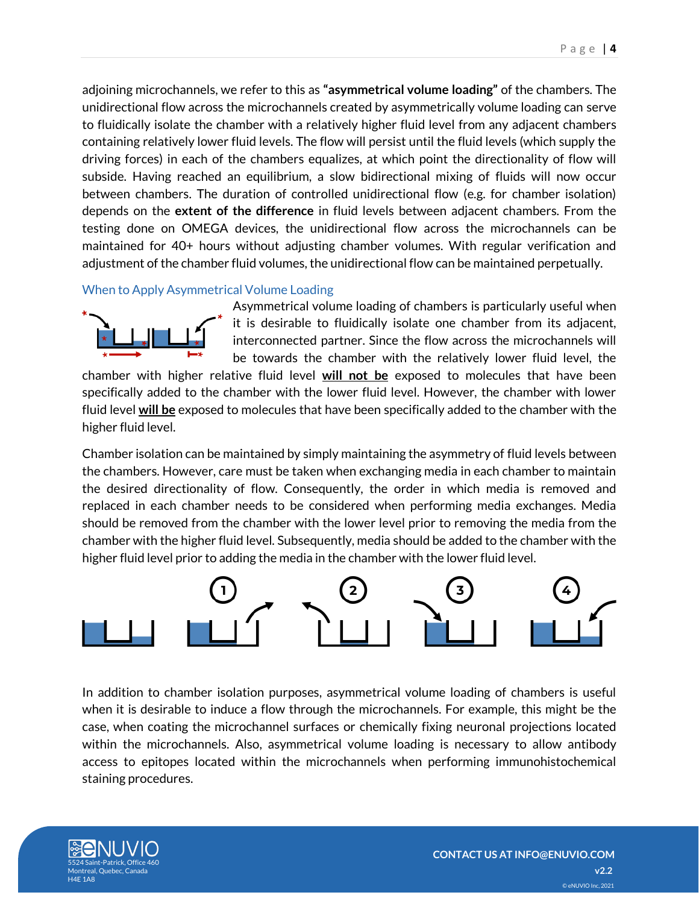adjoining microchannels, we refer to this as **"asymmetrical volume loading"** of the chambers. The unidirectional flow across the microchannels created by asymmetrically volume loading can serve to fluidically isolate the chamber with a relatively higher fluid level from any adjacent chambers containing relatively lower fluid levels. The flow will persist until the fluid levels (which supply the driving forces) in each of the chambers equalizes, at which point the directionality of flow will subside. Having reached an equilibrium, a slow bidirectional mixing of fluids will now occur between chambers. The duration of controlled unidirectional flow (e.g. for chamber isolation) depends on the **extent of the difference** in fluid levels between adjacent chambers. From the testing done on OMEGA devices, the unidirectional flow across the microchannels can be maintained for 40+ hours without adjusting chamber volumes. With regular verification and adjustment of the chamber fluid volumes, the unidirectional flow can be maintained perpetually.

<span id="page-3-0"></span>When to Apply Asymmetrical Volume Loading



Asymmetrical volume loading of chambers is particularly useful when it is desirable to fluidically isolate one chamber from its adjacent, interconnected partner. Since the flow across the microchannels will be towards the chamber with the relatively lower fluid level, the

chamber with higher relative fluid level **will not be** exposed to molecules that have been specifically added to the chamber with the lower fluid level. However, the chamber with lower fluid level **will be** exposed to molecules that have been specifically added to the chamber with the higher fluid level.

Chamber isolation can be maintained by simply maintaining the asymmetry of fluid levels between the chambers. However, care must be taken when exchanging media in each chamber to maintain the desired directionality of flow. Consequently, the order in which media is removed and replaced in each chamber needs to be considered when performing media exchanges. Media should be removed from the chamber with the lower level prior to removing the media from the chamber with the higher fluid level. Subsequently, media should be added to the chamber with the higher fluid level prior to adding the media in the chamber with the lower fluid level.



In addition to chamber isolation purposes, asymmetrical volume loading of chambers is useful when it is desirable to induce a flow through the microchannels. For example, this might be the case, when coating the microchannel surfaces or chemically fixing neuronal projections located within the microchannels. Also, asymmetrical volume loading is necessary to allow antibody access to epitopes located within the microchannels when performing immunohistochemical staining procedures.

<span id="page-3-1"></span>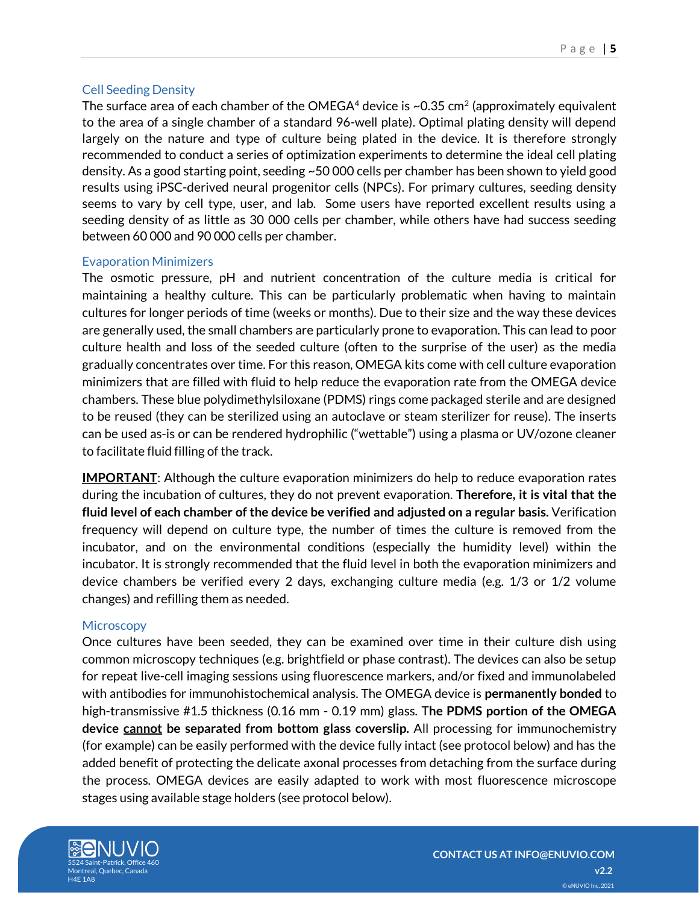#### Cell Seeding Density

The surface area of each chamber of the OMEGA $^4$  device is ~0.35 cm $^2$  (approximately equivalent to the area of a single chamber of a standard 96-well plate). Optimal plating density will depend largely on the nature and type of culture being plated in the device. It is therefore strongly recommended to conduct a series of optimization experiments to determine the ideal cell plating density. As a good starting point, seeding ~50 000 cells per chamber has been shown to yield good results using iPSC-derived neural progenitor cells (NPCs). For primary cultures, seeding density seems to vary by cell type, user, and lab. Some users have reported excellent results using a seeding density of as little as 30 000 cells per chamber, while others have had success seeding between 60 000 and 90 000 cells per chamber.

#### <span id="page-4-0"></span>Evaporation Minimizers

The osmotic pressure, pH and nutrient concentration of the culture media is critical for maintaining a healthy culture. This can be particularly problematic when having to maintain cultures for longer periods of time (weeks or months). Due to their size and the way these devices are generally used, the small chambers are particularly prone to evaporation. This can lead to poor culture health and loss of the seeded culture (often to the surprise of the user) as the media gradually concentrates over time. For this reason, OMEGA kits come with cell culture evaporation minimizers that are filled with fluid to help reduce the evaporation rate from the OMEGA device chambers. These blue polydimethylsiloxane (PDMS) rings come packaged sterile and are designed to be reused (they can be sterilized using an autoclave or steam sterilizer for reuse). The inserts can be used as-is or can be rendered hydrophilic ("wettable") using a plasma or UV/ozone cleaner to facilitate fluid filling of the track.

**IMPORTANT**: Although the culture evaporation minimizers do help to reduce evaporation rates during the incubation of cultures, they do not prevent evaporation. **Therefore, it is vital that the fluid level of each chamber of the device be verified and adjusted on a regular basis.** Verification frequency will depend on culture type, the number of times the culture is removed from the incubator, and on the environmental conditions (especially the humidity level) within the incubator. It is strongly recommended that the fluid level in both the evaporation minimizers and device chambers be verified every 2 days, exchanging culture media (e.g. 1/3 or 1/2 volume changes) and refilling them as needed.

#### <span id="page-4-1"></span>**Microscopy**

Once cultures have been seeded, they can be examined over time in their culture dish using common microscopy techniques (e.g. brightfield or phase contrast). The devices can also be setup for repeat live-cell imaging sessions using fluorescence markers, and/or fixed and immunolabeled with antibodies for immunohistochemical analysis. The OMEGA device is **permanently bonded** to high-transmissive #1.5 thickness (0.16 mm - 0.19 mm) glass. T**he PDMS portion of the OMEGA device cannot be separated from bottom glass coverslip.** All processing for immunochemistry (for example) can be easily performed with the device fully intact (see protocol below) and has the added benefit of protecting the delicate axonal processes from detaching from the surface during the process. OMEGA devices are easily adapted to work with most fluorescence microscope stages using available stage holders (see protocol below).

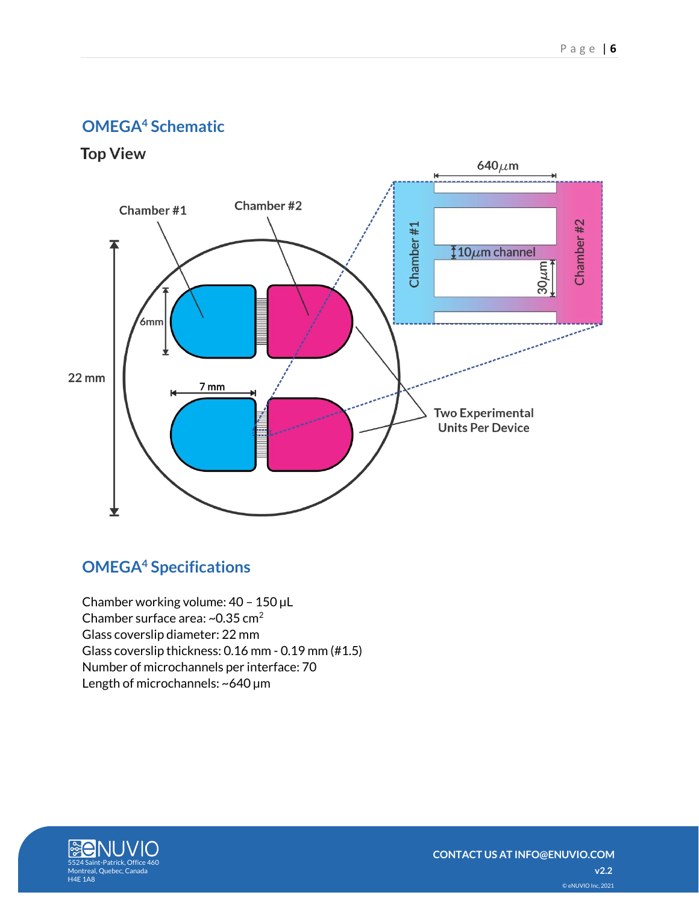# <span id="page-5-0"></span>**OMEGA<sup>4</sup> Schematic**

**Top View** 



# <span id="page-5-1"></span>**OMEGA<sup>4</sup> Specifications**

Chamber working volume: 40 – 150 µL Chamber surface area: ~0.35 cm<sup>2</sup> Glass coverslip diameter: 22 mm Glass coverslip thickness: 0.16 mm - 0.19 mm (#1.5) Number of microchannels per interface: 70 Length of microchannels: ~640 µm

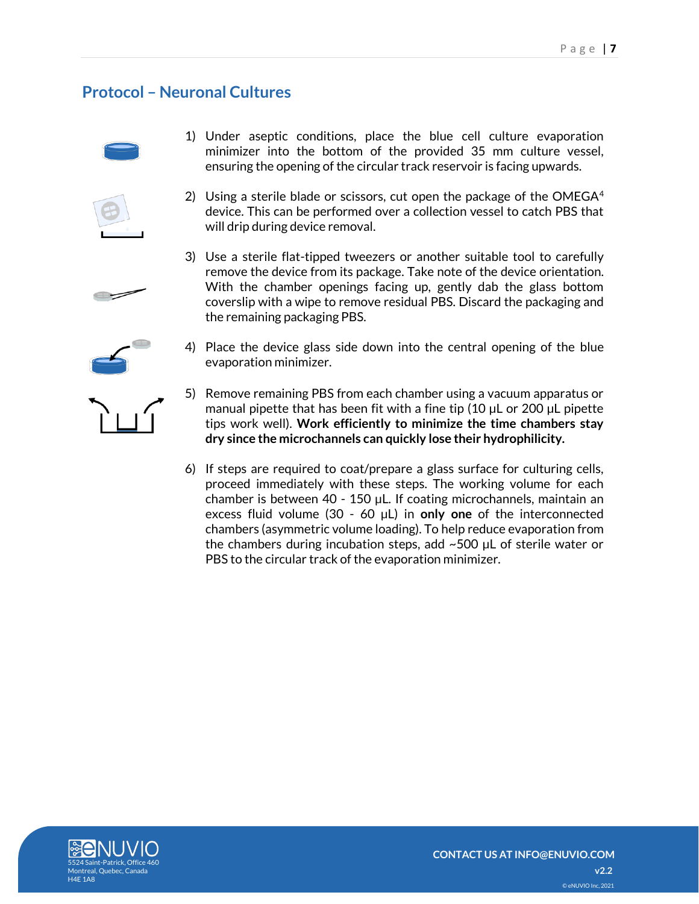# <span id="page-6-0"></span>**Protocol – Neuronal Cultures**







3) Use a sterile flat-tipped tweezers or another suitable tool to carefully remove the device from its package. Take note of the device orientation. With the chamber openings facing up, gently dab the glass bottom coverslip with a wipe to remove residual PBS. Discard the packaging and the remaining packaging PBS.

4) Place the device glass side down into the central opening of the blue evaporation minimizer.

5) Remove remaining PBS from each chamber using a vacuum apparatus or manual pipette that has been fit with a fine tip (10 µL or 200 µL pipette tips work well). **Work efficiently to minimize the time chambers stay dry since the microchannels can quickly lose their hydrophilicity.**

6) If steps are required to coat/prepare a glass surface for culturing cells, proceed immediately with these steps. The working volume for each chamber is between 40 - 150 µL. If coating microchannels, maintain an excess fluid volume (30 - 60 µL) in **only one** of the interconnected chambers (asymmetric volume loading). To help reduce evaporation from the chambers during incubation steps, add ~500 µL of sterile water or PBS to the circular track of the evaporation minimizer.





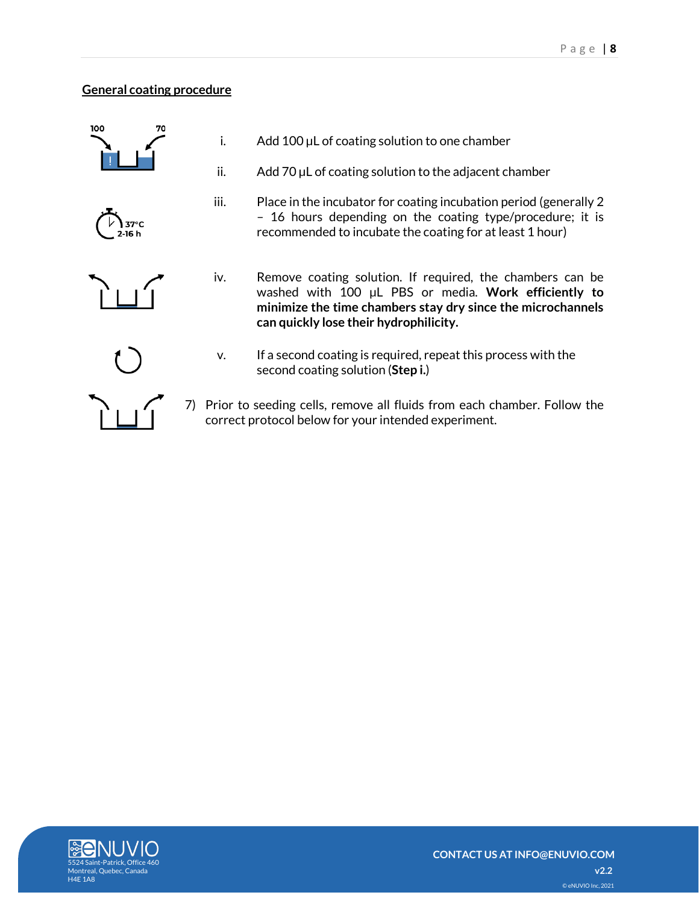### <span id="page-7-0"></span>**General coating procedure**







recommended to incubate the coating for at least 1 hour) iv. Remove coating solution. If required, the chambers can be

iii. Place in the incubator for coating incubation period (generally 2

– 16 hours depending on the coating type/procedure; it is

i.  $A$ dd 100 µL of coating solution to one chamber

ii. Add 70 µL of coating solution to the adjacent chamber

- washed with 100 µL PBS or media. **Work efficiently to minimize the time chambers stay dry since the microchannels can quickly lose their hydrophilicity.**
- <span id="page-7-1"></span>
- v. If a second coating is required, repeat this process with the second coating solution (**Step i.**)
- 7) Prior to seeding cells, remove all fluids from each chamber. Follow the correct protocol below for your intended experiment.

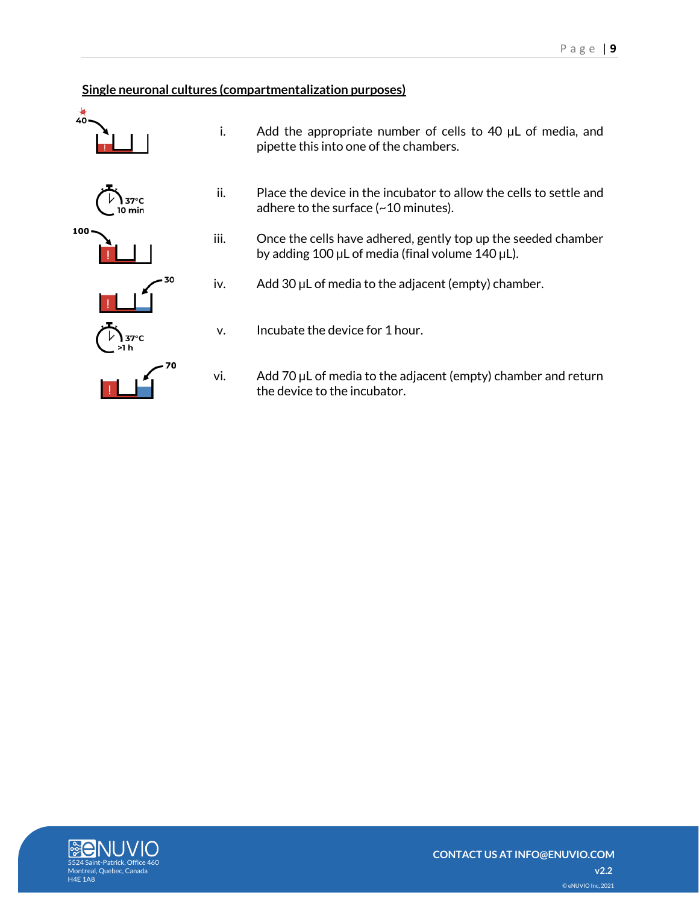### **Single neuronal cultures (compartmentalization purposes)**



- i. Add the appropriate number of cells to 40  $\mu$ L of media, and pipette this into one of the chambers.
- ii. Place the device in the incubator to allow the cells to settle and adhere to the surface (~10 minutes).
- iii. Once the cells have adhered, gently top up the seeded chamber by adding 100 µL of media (final volume 140 µL).
- iv. Add 30 µL of media to the adjacent (empty) chamber.
- v. Incubate the device for 1 hour.
- vi. Add 70 µL of media to the adjacent (empty) chamber and return the device to the incubator.

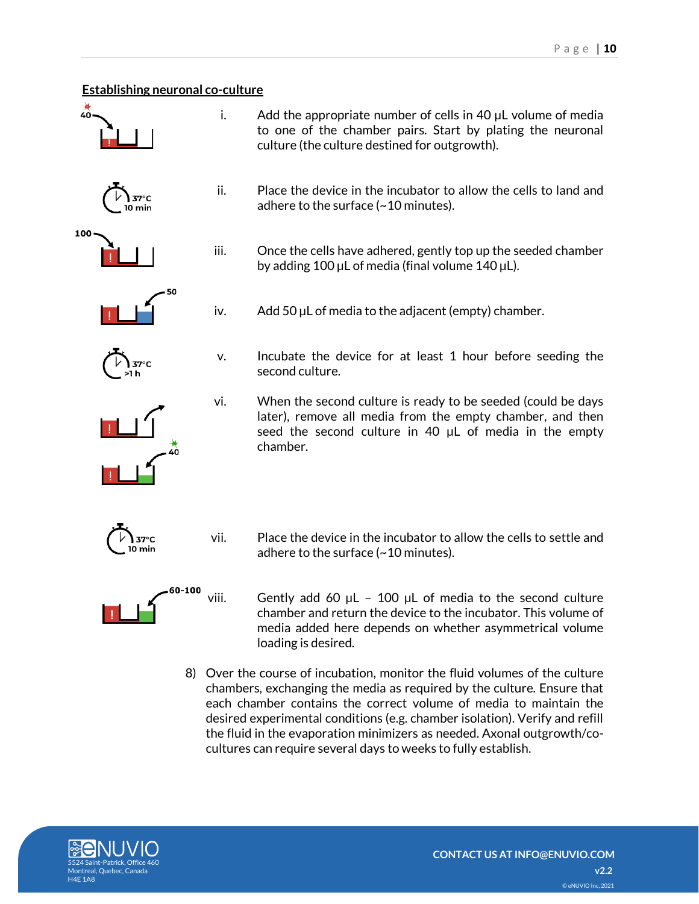# <span id="page-9-0"></span>**Establishing neuronal co-culture** ۷Ò i. Add the appropriate number of cells in 40 µL volume of media to one of the chamber pairs. Start by plating the neuronal culture (the culture destined for outgrowth). ii. Place the device in the incubator to allow the cells to land and  $37^{\circ}$ C adhere to the surface (~10 minutes). 0 min 100 iii. Once the cells have adhered, gently top up the seeded chamber by adding 100  $\mu$ L of media (final volume 140  $\mu$ L). iv. Add 50 µL of media to the adjacent (empty) chamber. v. Incubate the device for at least 1 hour before seeding the second culture. vi. When the second culture is ready to be seeded (could be days later), remove all media from the empty chamber, and then seed the second culture in 40 µL of media in the empty chamber. vii. Place the device in the incubator to allow the cells to settle and  $37^{\circ}$ C 10 min adhere to the surface (~10 minutes).

- viii. Gently add 60  $\mu$ L 100  $\mu$ L of media to the second culture chamber and return the device to the incubator. This volume of media added here depends on whether asymmetrical volume loading is desired.
- 8) Over the course of incubation, monitor the fluid volumes of the culture chambers, exchanging the media as required by the culture. Ensure that each chamber contains the correct volume of media to maintain the desired experimental conditions (e.g. chamber isolation). Verify and refill the fluid in the evaporation minimizers as needed. Axonal outgrowth/cocultures can require several days to weeks to fully establish.



60-100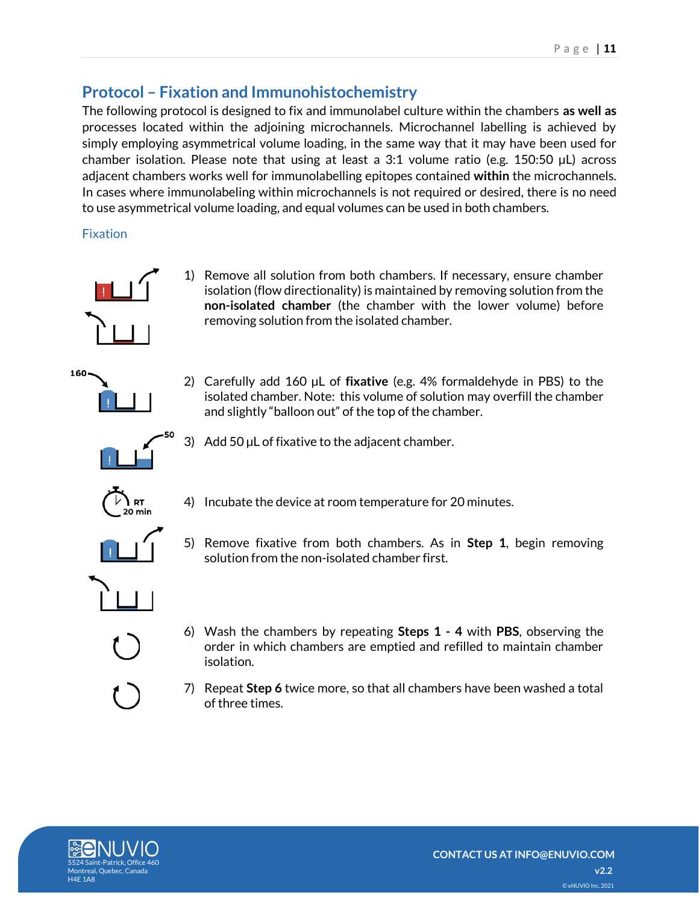# <span id="page-10-0"></span>**Protocol – Fixation and Immunohistochemistry**

The following protocol is designed to fix and immunolabel culture within the chambers **as well as** processes located within the adjoining microchannels. Microchannel labelling is achieved by simply employing asymmetrical volume loading, in the same way that it may have been used for chamber isolation. Please note that using at least a 3:1 volume ratio (e.g. 150:50  $\mu$ L) across adjacent chambers works well for immunolabelling epitopes contained **within** the microchannels. In cases where immunolabeling within microchannels is not required or desired, there is no need to use asymmetrical volume loading, and equal volumes can be used in both chambers.

<span id="page-10-1"></span>Fixation



160

- 1) Remove all solution from both chambers. If necessary, ensure chamber isolation (flow directionality) is maintained by removing solution from the **non-isolated chamber** (the chamber with the lower volume) before removing solution from the isolated chamber.
- 2) Carefully add 160 µL of **fixative** (e.g. 4% formaldehyde in PBS) to the isolated chamber. Note: this volume of solution may overfill the chamber and slightly "balloon out" of the top of the chamber.



3) Add  $50 \mu L$  of fixative to the adjacent chamber.



4) Incubate the device at room temperature for 20 minutes.



- 5) Remove fixative from both chambers. As in **Step 1**, begin removing solution from the non-isolated chamber first.
- 6) Wash the chambers by repeating **Steps 1 - 4** with **PBS**, observing the order in which chambers are emptied and refilled to maintain chamber isolation.
- 7) Repeat **Step 6** twice more, so that all chambers have been washed a total of three times.

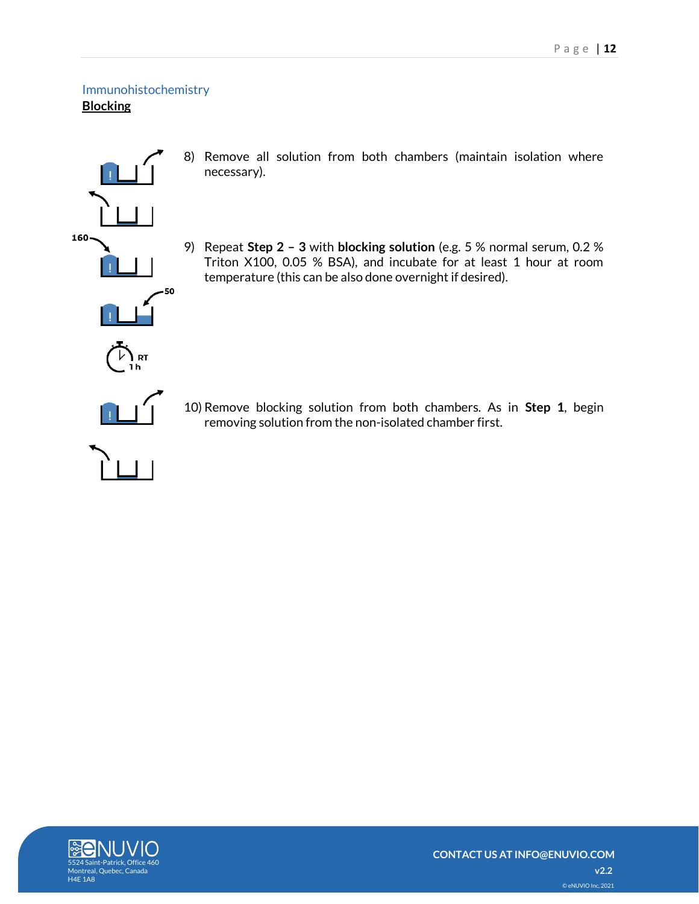### <span id="page-11-1"></span><span id="page-11-0"></span>Immunohistochemistry **Blocking**



- 8) Remove all solution from both chambers (maintain isolation where necessary).
- 9) Repeat **Step 2 – 3** with **blocking solution** (e.g. 5 % normal serum, 0.2 % Triton X100, 0.05 % BSA), and incubate for at least 1 hour at room temperature (this can be also done overnight if desired).



10) Remove blocking solution from both chambers. As in **Step 1**, begin removing solution from the non-isolated chamber first.

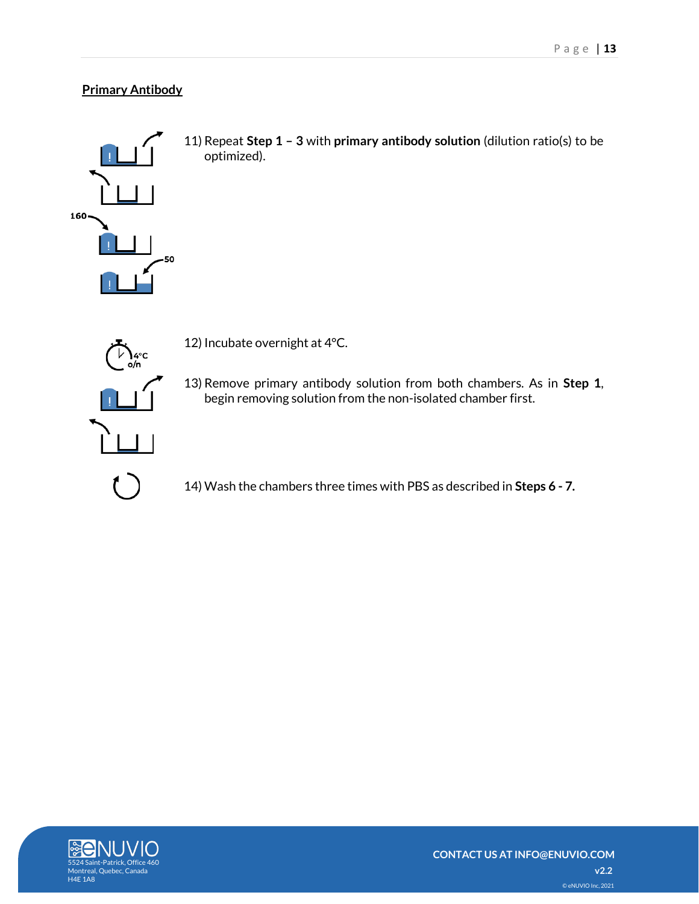### <span id="page-12-0"></span>**Primary Antibody**



11) Repeat **Step 1 – 3** with **primary antibody solution** (dilution ratio(s) to be optimized).



12) Incubate overnight at 4°C.

13) Remove primary antibody solution from both chambers. As in **Step 1**, begin removing solution from the non-isolated chamber first.

14) Wash the chambers three times with PBS as described in **Steps 6 - 7.**

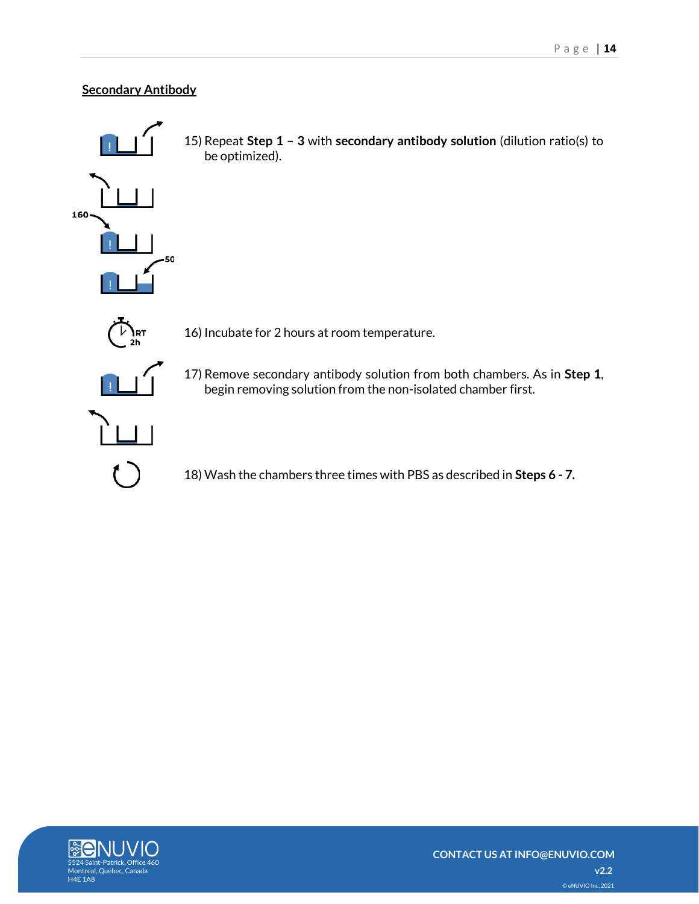### <span id="page-13-0"></span>**Secondary Antibody**



15) Repeat **Step 1 – 3** with **secondary antibody solution** (dilution ratio(s) to be optimized).



17) Remove secondary antibody solution from both chambers. As in **Step 1**, begin removing solution from the non-isolated chamber first.

18) Wash the chambers three times with PBS as described in **Steps 6 - 7.**

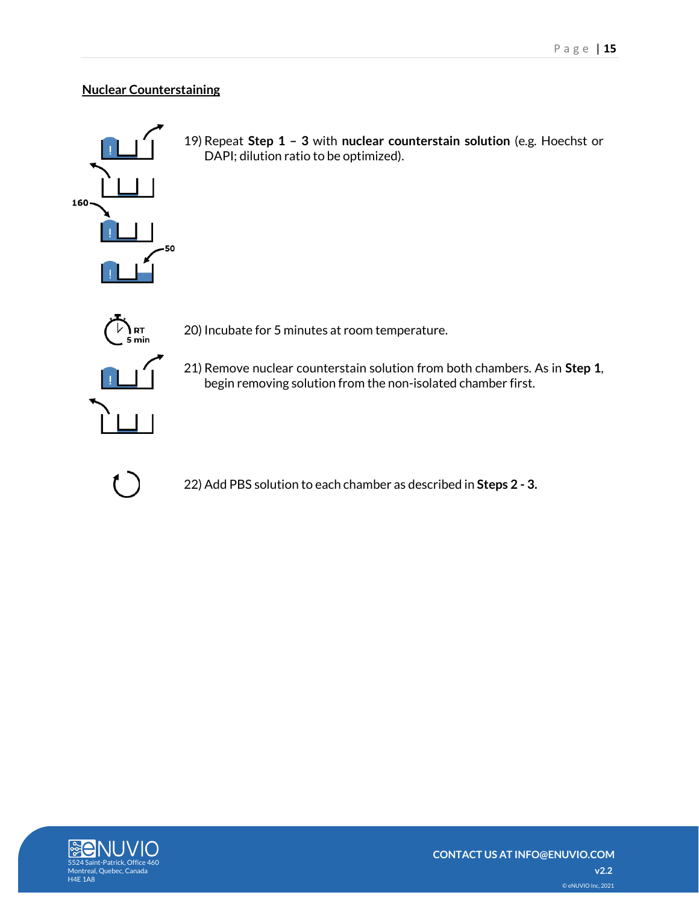### <span id="page-14-0"></span>**Nuclear Counterstaining**



19) Repeat **Step 1 – 3** with **nuclear counterstain solution** (e.g. Hoechst or DAPI; dilution ratio to be optimized).



20) Incubate for 5 minutes at room temperature.

21) Remove nuclear counterstain solution from both chambers. As in **Step 1**, begin removing solution from the non-isolated chamber first.



22) Add PBS solution to each chamber as described in **Steps 2 - 3.**

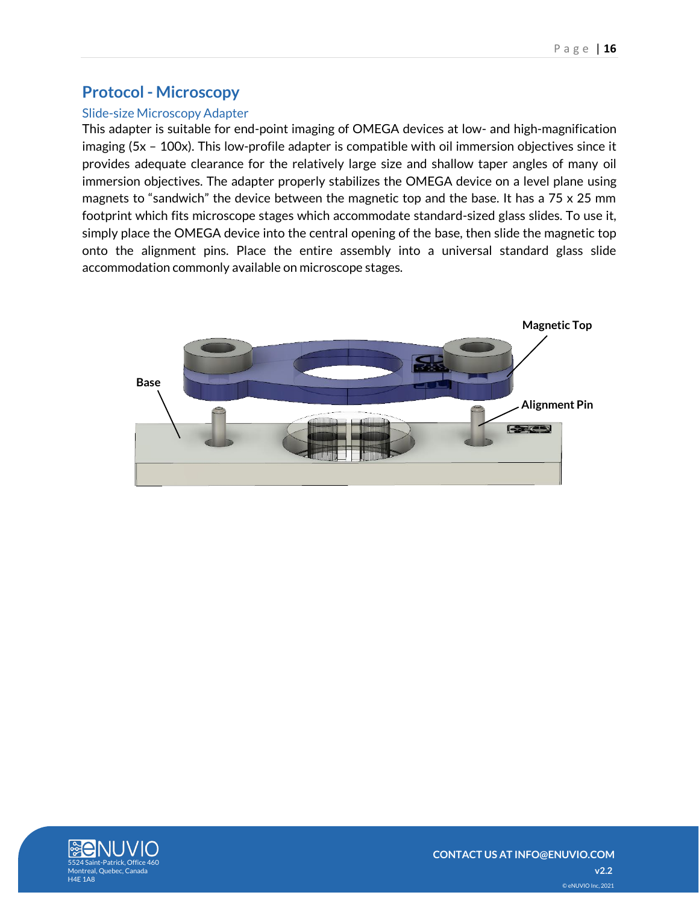## <span id="page-15-0"></span>**Protocol - Microscopy**

#### <span id="page-15-1"></span>Slide-size Microscopy Adapter

This adapter is suitable for end-point imaging of OMEGA devices at low- and high-magnification imaging (5x – 100x). This low-profile adapter is compatible with oil immersion objectives since it provides adequate clearance for the relatively large size and shallow taper angles of many oil immersion objectives. The adapter properly stabilizes the OMEGA device on a level plane using magnets to "sandwich" the device between the magnetic top and the base. It has a 75 x 25 mm footprint which fits microscope stages which accommodate standard-sized glass slides. To use it, simply place the OMEGA device into the central opening of the base, then slide the magnetic top onto the alignment pins. Place the entire assembly into a universal standard glass slide accommodation commonly available on microscope stages.